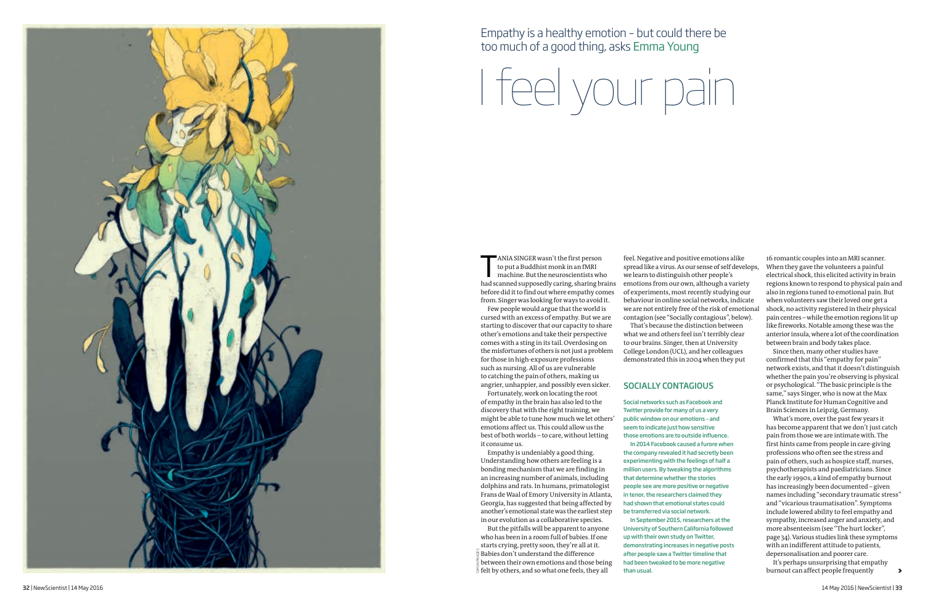ANIA SINGER wasn't the first person<br>to put a Buddhist monk in an fMRI<br>machine. But the neuroscientists who<br>had scanned supposedly caring sharing brain to put a Buddhist monk in an fMRI had scanned supposedly caring, sharing brains before did it to find out where empathy comes from. Singer was looking for ways to avoid it.

Few people would argue that the world is cursed with an excess of empathy. But we are starting to discover that our capacity to share other's emotions and take their perspective comes with a sting in its tail. Overdosing on the misfortunes of others is not just a problem for those in high-exposure professions such as nursing. All of us are vulnerable to catching the pain of others, making us angrier, unhappier, and possibly even sicker.

Fortunately, work on locating the root of empathy in the brain has also led to the discovery that with the right training, we might be able to tune how much we let others' emotions affect us. This could allow us the best of both worlds – to care, without letting it consume us.

Empathy is undeniably a good thing. Understanding how others are feeling is a bonding mechanism that we are finding in an increasing number of animals, including dolphins and rats. In humans, primatologist Frans de Waal of Emory University in Atlanta, Georgia, has suggested that being affected by another's emotional state was the earliest step in our evolution as a collaborative species.

feel. Negative and positive emotions alike spread like a virus. As our sense of self develops, we learn to distinguish other people's emotions from our own, although a variety of experiments, most recently studying our behaviour in online social networks, indicate we are not entirely free of the risk of emotional contagion (see "Socially contagious", below).

That's because the distinction between what we and others feel isn't terribly clear to our brains. Singer, then at University College London (UCL), and her colleagues demonstrated this in 2004 when they put 16 romantic couples into an MRI scanner. When they gave the volunteers a painful electrical shock, this elicited activity in brain regions known to respond to physical pain and also in regions tuned to emotional pain. But when volunteers saw their loved one get a shock, no activity registered in their physical pain centres – while the emotion regions lit up like fireworks. Notable among these was the anterior insula, where a lot of the coordination between brain and body takes place.

But the pitfalls will be apparent to anyone who has been in a room full of babies. If one starts crying, pretty soon, they're all at it.  $\frac{\omega}{\epsilon}$  Babies don't understand the difference between their own emotions and those being  $\frac{1}{\mathbb{R}}$  felt by others, and so what one feels, they all simon prad

Since then, many other studies have confirmed that this "empathy for pain" network exists, and that it doesn't distinguish whether the pain you're observing is physical or psychological. "The basic principle is the same," says Singer, who is now at the Max Planck Institute for Human Cognitive and Brain Sciences in Leipzig, Germany.

What's more, over the past few years it has become apparent that we don't just catch pain from those we are intimate with. The first hints came from people in care-giving professions who often see the stress and pain of others, such as hospice staff, nurses, psychotherapists and paediatricians. Since the early 1990s, a kind of empathy burnout has increasingly been documented – given names including "secondary traumatic stress" and "vicarious traumatisation". Symptoms include lowered ability to feel empathy and sympathy, increased anger and anxiety, and more absenteeism (see "The hurt locker", page 34). Various studies link these symptoms with an indifferent attitude to patients, depersonalisation and poorer care.

It's perhaps unsurprising that empathy burnout can affect people frequently

I feel your pain



Empathy is a healthy emotion – but could there be too much of a good thing, asks Emma Young

>

# Socially contagiou s

Social networks such as Facebook and Twitter provide for many of us a very public window on our emotions – and seem to indicate just how sensitive those emotions are to outside influence.

In 2014 Facebook caused a furore when the company revealed it had secretly been experimenting with the feelings of half a million users. By tweaking the algorithms that determine whether the stories people see are more positive or negative in tenor, the researchers claimed they had shown that emotional states could

be transferred via social network. In September 2015, researchers at the University of Southern California followed up with their own study on Twitter, demonstrating increases in negative posts after people saw a Twitter timeline that had been tweaked to be more negative than usual.